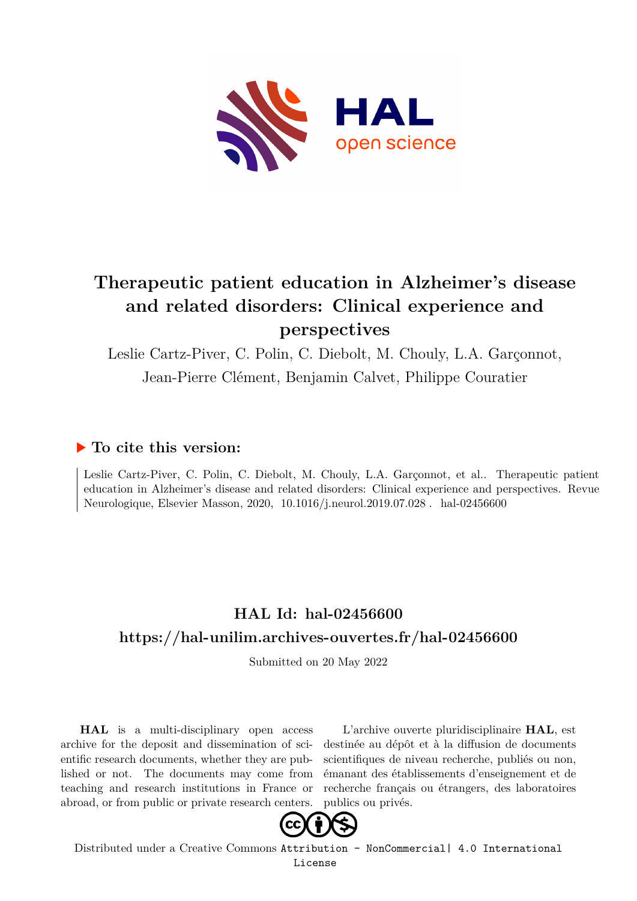

# **Therapeutic patient education in Alzheimer's disease and related disorders: Clinical experience and perspectives**

Leslie Cartz-Piver, C. Polin, C. Diebolt, M. Chouly, L.A. Garçonnot, Jean-Pierre Clément, Benjamin Calvet, Philippe Couratier

### **To cite this version:**

Leslie Cartz-Piver, C. Polin, C. Diebolt, M. Chouly, L.A. Garçonnot, et al.. Therapeutic patient education in Alzheimer's disease and related disorders: Clinical experience and perspectives. Revue Neurologique, Elsevier Masson, 2020, 10.1016/j.neurol.2019.07.028 hal-02456600

## **HAL Id: hal-02456600 <https://hal-unilim.archives-ouvertes.fr/hal-02456600>**

Submitted on 20 May 2022

**HAL** is a multi-disciplinary open access archive for the deposit and dissemination of scientific research documents, whether they are published or not. The documents may come from teaching and research institutions in France or abroad, or from public or private research centers.

L'archive ouverte pluridisciplinaire **HAL**, est destinée au dépôt et à la diffusion de documents scientifiques de niveau recherche, publiés ou non, émanant des établissements d'enseignement et de recherche français ou étrangers, des laboratoires publics ou privés.



Distributed under a Creative Commons [Attribution - NonCommercial| 4.0 International](http://creativecommons.org/licenses/by-nc/4.0/) [License](http://creativecommons.org/licenses/by-nc/4.0/)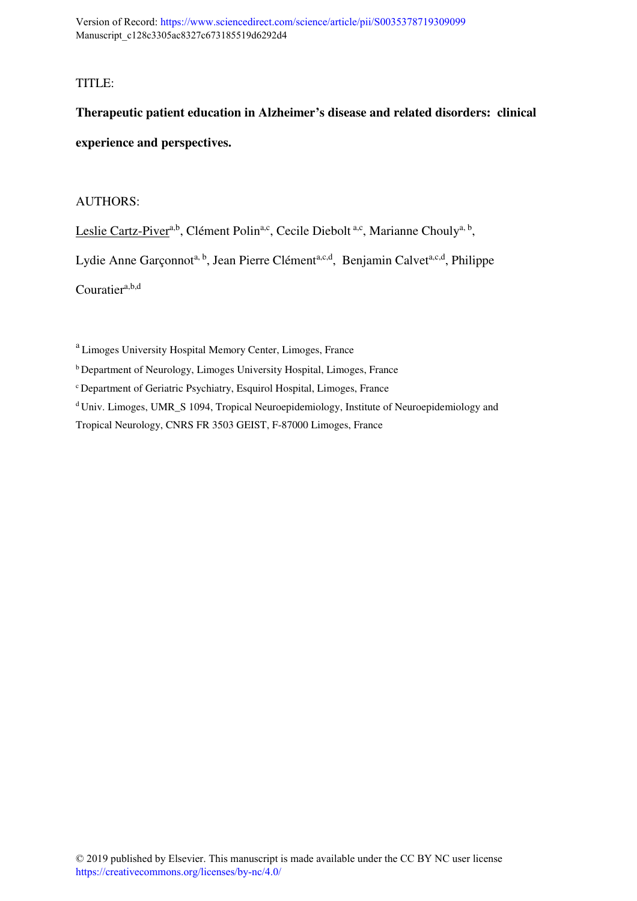Version of Record: <https://www.sciencedirect.com/science/article/pii/S0035378719309099> Manuscript\_c128c3305ac8327c673185519d6292d4

#### TITLE:

**Therapeutic patient education in Alzheimer's disease and related disorders: clinical experience and perspectives.** 

#### AUTHORS:

Leslie Cartz-Piver<sup>a,b</sup>, Clément Polin<sup>a,c</sup>, Cecile Diebolt <sup>a,c</sup>, Marianne Chouly<sup>a, b</sup>,

Lydie Anne Garçonnot<sup>a, b</sup>, Jean Pierre Clément<sup>a, c, d</sup>, Benjamin Calvet<sup>a, c, d</sup>, Philippe

Couratiera,b,d

<sup>a</sup> Limoges University Hospital Memory Center, Limoges, France

<sup>b</sup> Department of Neurology, Limoges University Hospital, Limoges, France

<sup>c</sup>Department of Geriatric Psychiatry, Esquirol Hospital, Limoges, France

<sup>d</sup>Univ. Limoges, UMR S 1094, Tropical Neuroepidemiology, Institute of Neuroepidemiology and

Tropical Neurology, CNRS FR 3503 GEIST, F-87000 Limoges, France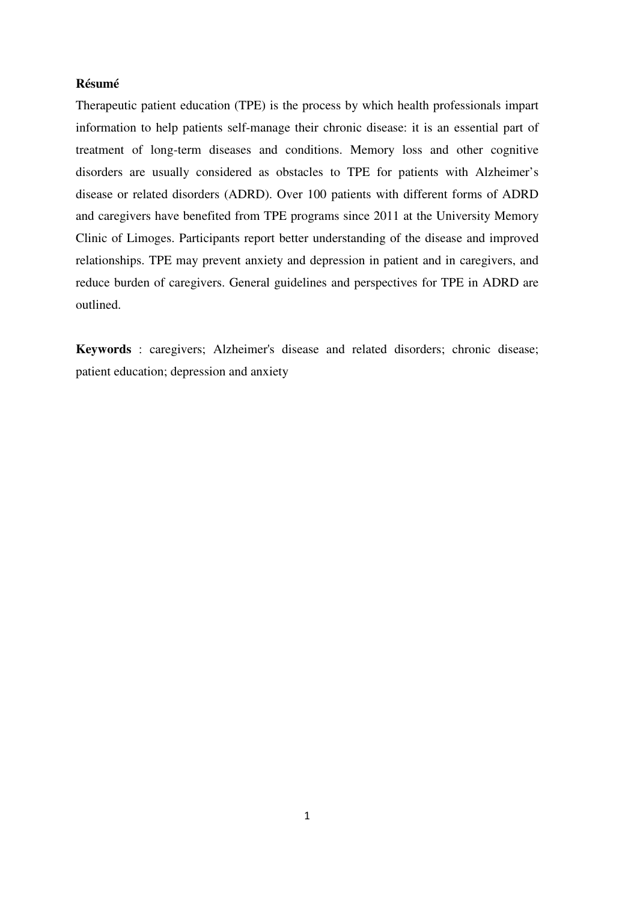#### **Résumé**

Therapeutic patient education (TPE) is the process by which health professionals impart information to help patients self-manage their chronic disease: it is an essential part of treatment of long-term diseases and conditions. Memory loss and other cognitive disorders are usually considered as obstacles to TPE for patients with Alzheimer's disease or related disorders (ADRD). Over 100 patients with different forms of ADRD and caregivers have benefited from TPE programs since 2011 at the University Memory Clinic of Limoges. Participants report better understanding of the disease and improved relationships. TPE may prevent anxiety and depression in patient and in caregivers, and reduce burden of caregivers. General guidelines and perspectives for TPE in ADRD are outlined.

**Keywords** : caregivers; Alzheimer's disease and related disorders; chronic disease; patient education; depression and anxiety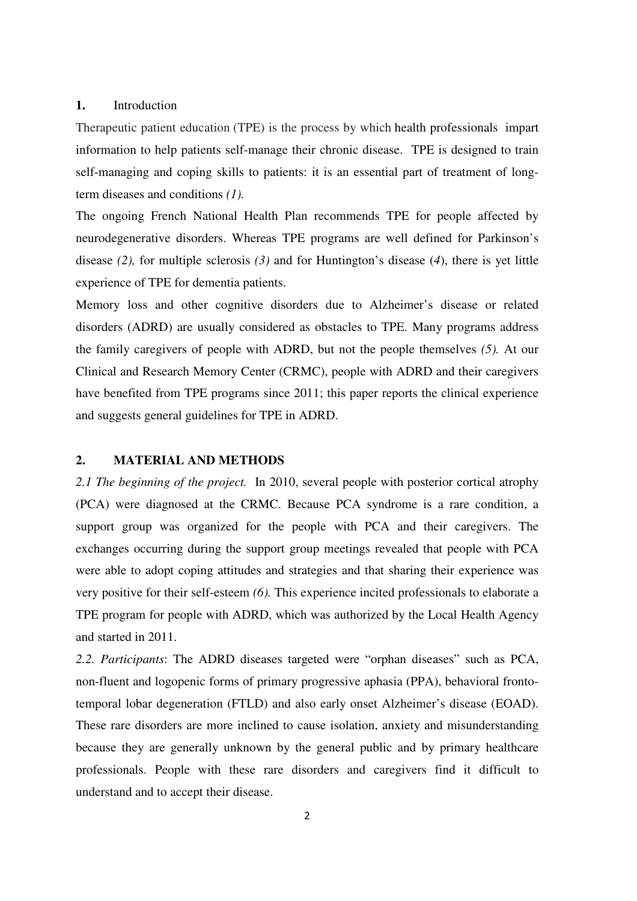#### **1.** Introduction

Therapeutic patient education (TPE) is the process by which health professionals impart information to help patients self-manage their chronic disease. TPE is designed to train self-managing and coping skills to patients: it is an essential part of treatment of longterm diseases and conditions *(1).* 

The ongoing French National Health Plan recommends TPE for people affected by neurodegenerative disorders. Whereas TPE programs are well defined for Parkinson's disease *(2),* for multiple sclerosis *(3)* and for Huntington's disease (*4*), there is yet little experience of TPE for dementia patients.

Memory loss and other cognitive disorders due to Alzheimer's disease or related disorders (ADRD) are usually considered as obstacles to TPE. Many programs address the family caregivers of people with ADRD, but not the people themselves *(5).* At our Clinical and Research Memory Center (CRMC), people with ADRD and their caregivers have benefited from TPE programs since 2011; this paper reports the clinical experience and suggests general guidelines for TPE in ADRD.

#### **2. MATERIAL AND METHODS**

*2.1 The beginning of the project.* In 2010, several people with posterior cortical atrophy (PCA) were diagnosed at the CRMC. Because PCA syndrome is a rare condition, a support group was organized for the people with PCA and their caregivers. The exchanges occurring during the support group meetings revealed that people with PCA were able to adopt coping attitudes and strategies and that sharing their experience was very positive for their self-esteem *(6).* This experience incited professionals to elaborate a TPE program for people with ADRD, which was authorized by the Local Health Agency and started in 2011.

*2.2. Participants*: The ADRD diseases targeted were "orphan diseases" such as PCA, non-fluent and logopenic forms of primary progressive aphasia (PPA), behavioral frontotemporal lobar degeneration (FTLD) and also early onset Alzheimer's disease (EOAD). These rare disorders are more inclined to cause isolation, anxiety and misunderstanding because they are generally unknown by the general public and by primary healthcare professionals. People with these rare disorders and caregivers find it difficult to understand and to accept their disease.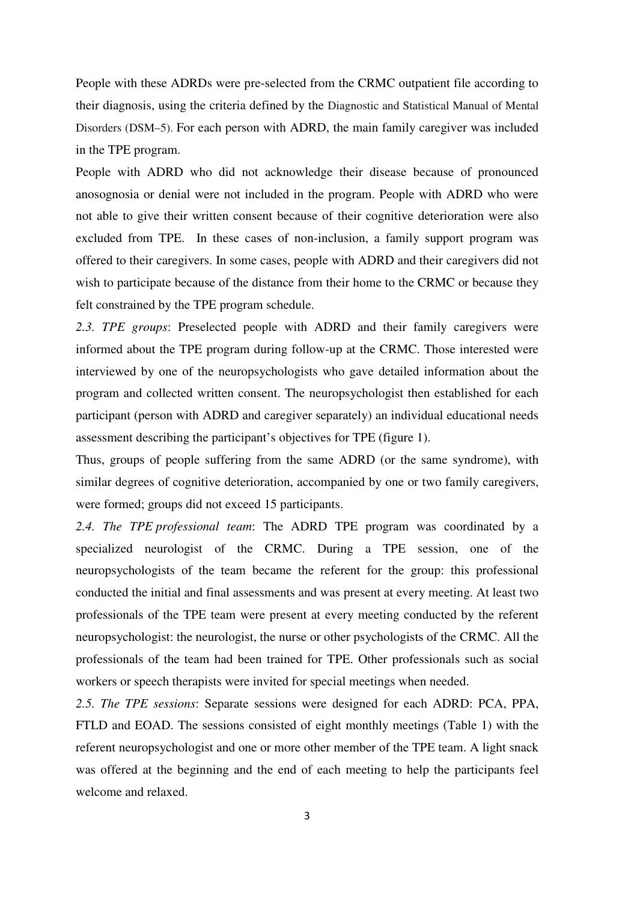People with these ADRDs were pre-selected from the CRMC outpatient file according to their diagnosis, using the criteria defined by the Diagnostic and Statistical Manual of Mental Disorders (DSM–5). For each person with ADRD, the main family caregiver was included in the TPE program.

People with ADRD who did not acknowledge their disease because of pronounced anosognosia or denial were not included in the program. People with ADRD who were not able to give their written consent because of their cognitive deterioration were also excluded from TPE. In these cases of non-inclusion, a family support program was offered to their caregivers. In some cases, people with ADRD and their caregivers did not wish to participate because of the distance from their home to the CRMC or because they felt constrained by the TPE program schedule.

*2.3. TPE groups*: Preselected people with ADRD and their family caregivers were informed about the TPE program during follow-up at the CRMC. Those interested were interviewed by one of the neuropsychologists who gave detailed information about the program and collected written consent. The neuropsychologist then established for each participant (person with ADRD and caregiver separately) an individual educational needs assessment describing the participant's objectives for TPE (figure 1).

Thus, groups of people suffering from the same ADRD (or the same syndrome), with similar degrees of cognitive deterioration, accompanied by one or two family caregivers, were formed; groups did not exceed 15 participants.

*2.4. The TPE professional team*: The ADRD TPE program was coordinated by a specialized neurologist of the CRMC. During a TPE session, one of the neuropsychologists of the team became the referent for the group: this professional conducted the initial and final assessments and was present at every meeting. At least two professionals of the TPE team were present at every meeting conducted by the referent neuropsychologist: the neurologist, the nurse or other psychologists of the CRMC. All the professionals of the team had been trained for TPE. Other professionals such as social workers or speech therapists were invited for special meetings when needed.

*2.5. The TPE sessions*: Separate sessions were designed for each ADRD: PCA, PPA, FTLD and EOAD. The sessions consisted of eight monthly meetings (Table 1) with the referent neuropsychologist and one or more other member of the TPE team. A light snack was offered at the beginning and the end of each meeting to help the participants feel welcome and relaxed.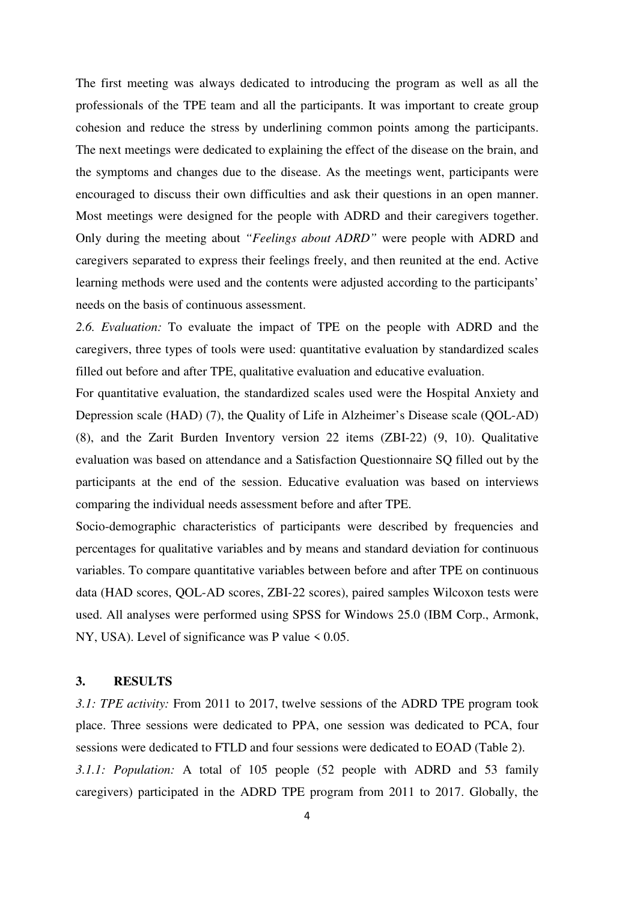The first meeting was always dedicated to introducing the program as well as all the professionals of the TPE team and all the participants. It was important to create group cohesion and reduce the stress by underlining common points among the participants. The next meetings were dedicated to explaining the effect of the disease on the brain, and the symptoms and changes due to the disease. As the meetings went, participants were encouraged to discuss their own difficulties and ask their questions in an open manner. Most meetings were designed for the people with ADRD and their caregivers together. Only during the meeting about *"Feelings about ADRD"* were people with ADRD and caregivers separated to express their feelings freely, and then reunited at the end. Active learning methods were used and the contents were adjusted according to the participants' needs on the basis of continuous assessment.

*2.6. Evaluation:* To evaluate the impact of TPE on the people with ADRD and the caregivers, three types of tools were used: quantitative evaluation by standardized scales filled out before and after TPE, qualitative evaluation and educative evaluation.

For quantitative evaluation, the standardized scales used were the Hospital Anxiety and Depression scale (HAD) (7), the Quality of Life in Alzheimer's Disease scale (QOL-AD) (8), and the Zarit Burden Inventory version 22 items (ZBI-22) (9, 10). Qualitative evaluation was based on attendance and a Satisfaction Questionnaire SQ filled out by the participants at the end of the session. Educative evaluation was based on interviews comparing the individual needs assessment before and after TPE.

Socio-demographic characteristics of participants were described by frequencies and percentages for qualitative variables and by means and standard deviation for continuous variables. To compare quantitative variables between before and after TPE on continuous data (HAD scores, QOL-AD scores, ZBI-22 scores), paired samples Wilcoxon tests were used. All analyses were performed using SPSS for Windows 25.0 (IBM Corp., Armonk, NY, USA). Level of significance was P value  $\leq 0.05$ .

#### **3. RESULTS**

*3.1: TPE activity:* From 2011 to 2017, twelve sessions of the ADRD TPE program took place. Three sessions were dedicated to PPA, one session was dedicated to PCA, four sessions were dedicated to FTLD and four sessions were dedicated to EOAD (Table 2). *3.1.1: Population:* A total of 105 people (52 people with ADRD and 53 family caregivers) participated in the ADRD TPE program from 2011 to 2017. Globally, the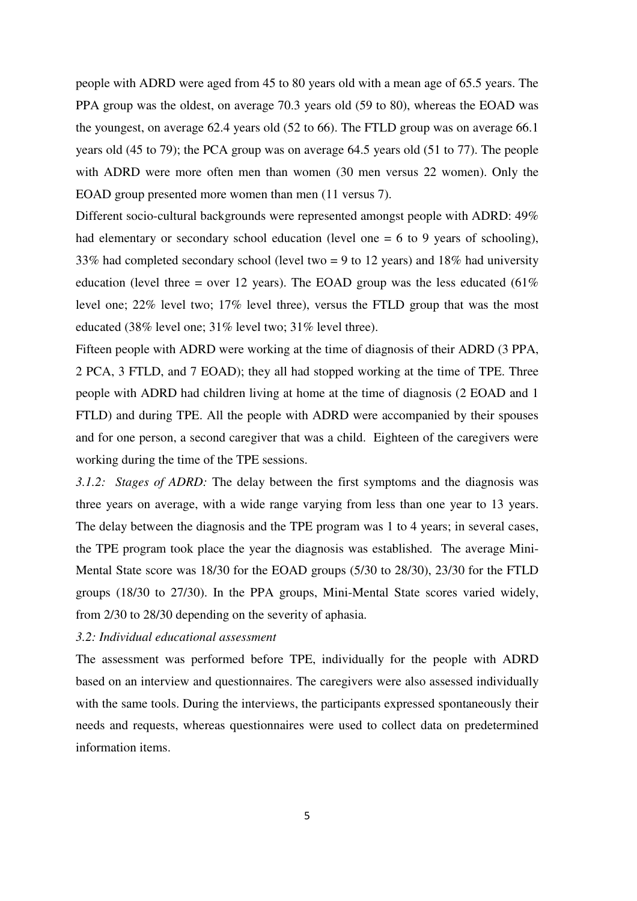people with ADRD were aged from 45 to 80 years old with a mean age of 65.5 years. The PPA group was the oldest, on average 70.3 years old (59 to 80), whereas the EOAD was the youngest, on average 62.4 years old (52 to 66). The FTLD group was on average 66.1 years old (45 to 79); the PCA group was on average 64.5 years old (51 to 77). The people with ADRD were more often men than women (30 men versus 22 women). Only the EOAD group presented more women than men (11 versus 7).

Different socio-cultural backgrounds were represented amongst people with ADRD: 49% had elementary or secondary school education (level one = 6 to 9 years of schooling), 33% had completed secondary school (level two = 9 to 12 years) and 18% had university education (level three = over 12 years). The EOAD group was the less educated (61%) level one; 22% level two; 17% level three), versus the FTLD group that was the most educated (38% level one; 31% level two; 31% level three).

Fifteen people with ADRD were working at the time of diagnosis of their ADRD (3 PPA, 2 PCA, 3 FTLD, and 7 EOAD); they all had stopped working at the time of TPE. Three people with ADRD had children living at home at the time of diagnosis (2 EOAD and 1 FTLD) and during TPE. All the people with ADRD were accompanied by their spouses and for one person, a second caregiver that was a child. Eighteen of the caregivers were working during the time of the TPE sessions.

*3.1.2: Stages of ADRD:* The delay between the first symptoms and the diagnosis was three years on average, with a wide range varying from less than one year to 13 years. The delay between the diagnosis and the TPE program was 1 to 4 years; in several cases, the TPE program took place the year the diagnosis was established. The average Mini-Mental State score was 18/30 for the EOAD groups (5/30 to 28/30), 23/30 for the FTLD groups (18/30 to 27/30). In the PPA groups, Mini-Mental State scores varied widely, from 2/30 to 28/30 depending on the severity of aphasia.

*3.2: Individual educational assessment* 

The assessment was performed before TPE, individually for the people with ADRD based on an interview and questionnaires. The caregivers were also assessed individually with the same tools. During the interviews, the participants expressed spontaneously their needs and requests, whereas questionnaires were used to collect data on predetermined information items.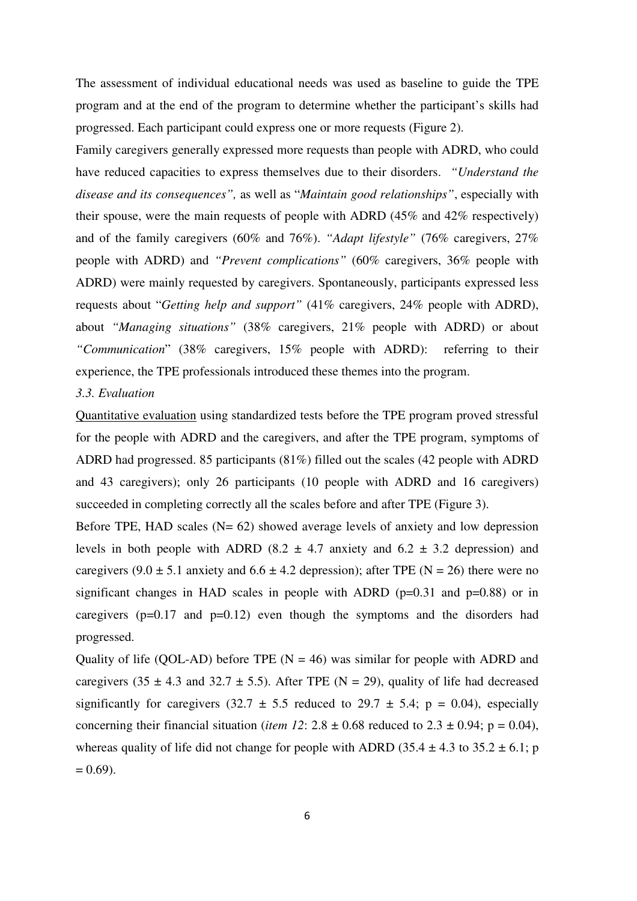The assessment of individual educational needs was used as baseline to guide the TPE program and at the end of the program to determine whether the participant's skills had progressed. Each participant could express one or more requests (Figure 2).

Family caregivers generally expressed more requests than people with ADRD, who could have reduced capacities to express themselves due to their disorders. *"Understand the disease and its consequences",* as well as "*Maintain good relationships"*, especially with their spouse, were the main requests of people with ADRD (45% and 42% respectively) and of the family caregivers (60% and 76%). *"Adapt lifestyle"* (76% caregivers, 27% people with ADRD) and *"Prevent complications"* (60% caregivers, 36% people with ADRD) were mainly requested by caregivers. Spontaneously, participants expressed less requests about "*Getting help and support"* (41% caregivers, 24% people with ADRD), about *"Managing situations"* (38% caregivers, 21% people with ADRD) or about *"Communication*" (38% caregivers, 15% people with ADRD): referring to their experience, the TPE professionals introduced these themes into the program.

#### *3.3. Evaluation*

Quantitative evaluation using standardized tests before the TPE program proved stressful for the people with ADRD and the caregivers, and after the TPE program, symptoms of ADRD had progressed. 85 participants (81%) filled out the scales (42 people with ADRD and 43 caregivers); only 26 participants (10 people with ADRD and 16 caregivers) succeeded in completing correctly all the scales before and after TPE (Figure 3).

Before TPE, HAD scales  $(N= 62)$  showed average levels of anxiety and low depression levels in both people with ADRD (8.2  $\pm$  4.7 anxiety and 6.2  $\pm$  3.2 depression) and caregivers (9.0  $\pm$  5.1 anxiety and 6.6  $\pm$  4.2 depression); after TPE (N = 26) there were no significant changes in HAD scales in people with ADRD ( $p=0.31$  and  $p=0.88$ ) or in caregivers  $(p=0.17$  and  $p=0.12$ ) even though the symptoms and the disorders had progressed.

Quality of life (QOL-AD) before TPE ( $N = 46$ ) was similar for people with ADRD and caregivers (35  $\pm$  4.3 and 32.7  $\pm$  5.5). After TPE (N = 29), quality of life had decreased significantly for caregivers (32.7  $\pm$  5.5 reduced to 29.7  $\pm$  5.4; p = 0.04), especially concerning their financial situation (*item 12*:  $2.8 \pm 0.68$  reduced to  $2.3 \pm 0.94$ ; p = 0.04), whereas quality of life did not change for people with ADRD (35.4  $\pm$  4.3 to 35.2  $\pm$  6.1; p  $= 0.69$ ).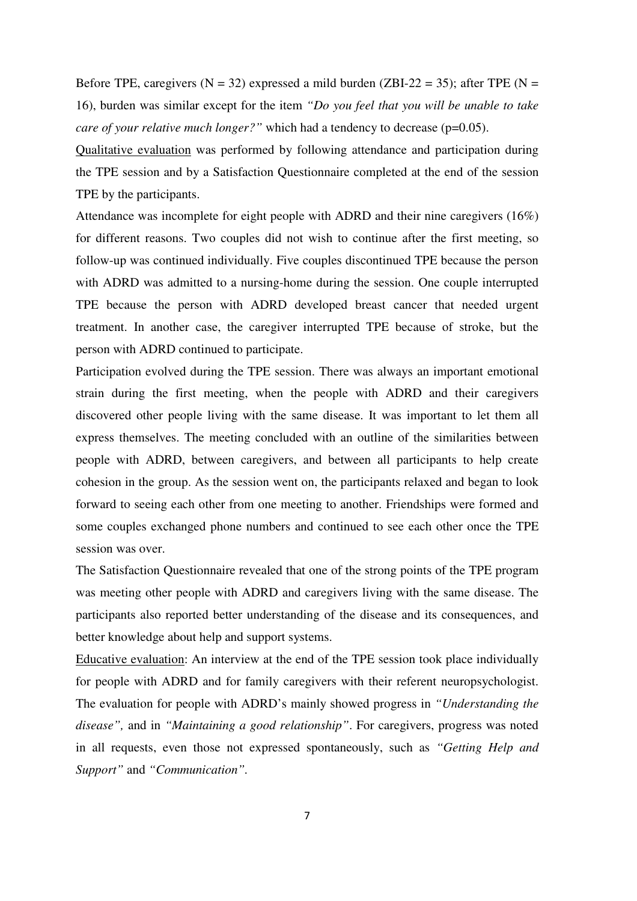Before TPE, caregivers ( $N = 32$ ) expressed a mild burden (ZBI-22 = 35); after TPE ( $N =$ 16), burden was similar except for the item *"Do you feel that you will be unable to take care of your relative much longer?*" which had a tendency to decrease (p=0.05).

Qualitative evaluation was performed by following attendance and participation during the TPE session and by a Satisfaction Questionnaire completed at the end of the session TPE by the participants.

Attendance was incomplete for eight people with ADRD and their nine caregivers (16%) for different reasons. Two couples did not wish to continue after the first meeting, so follow-up was continued individually. Five couples discontinued TPE because the person with ADRD was admitted to a nursing-home during the session. One couple interrupted TPE because the person with ADRD developed breast cancer that needed urgent treatment. In another case, the caregiver interrupted TPE because of stroke, but the person with ADRD continued to participate.

Participation evolved during the TPE session. There was always an important emotional strain during the first meeting, when the people with ADRD and their caregivers discovered other people living with the same disease. It was important to let them all express themselves. The meeting concluded with an outline of the similarities between people with ADRD, between caregivers, and between all participants to help create cohesion in the group. As the session went on, the participants relaxed and began to look forward to seeing each other from one meeting to another. Friendships were formed and some couples exchanged phone numbers and continued to see each other once the TPE session was over.

The Satisfaction Questionnaire revealed that one of the strong points of the TPE program was meeting other people with ADRD and caregivers living with the same disease. The participants also reported better understanding of the disease and its consequences, and better knowledge about help and support systems.

Educative evaluation: An interview at the end of the TPE session took place individually for people with ADRD and for family caregivers with their referent neuropsychologist. The evaluation for people with ADRD's mainly showed progress in *"Understanding the disease",* and in *"Maintaining a good relationship"*. For caregivers, progress was noted in all requests, even those not expressed spontaneously, such as *"Getting Help and Support"* and *"Communication".*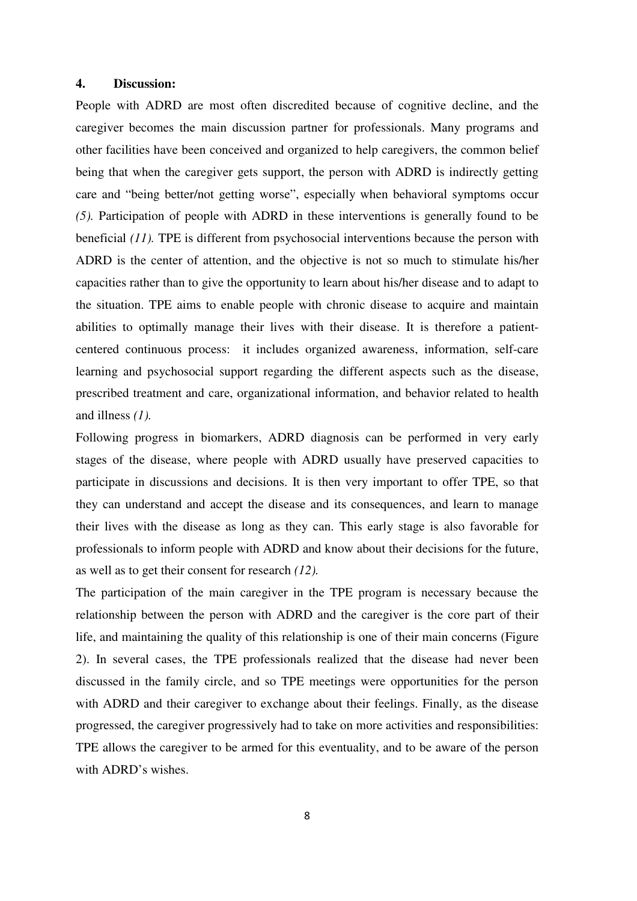#### **4. Discussion:**

People with ADRD are most often discredited because of cognitive decline, and the caregiver becomes the main discussion partner for professionals. Many programs and other facilities have been conceived and organized to help caregivers, the common belief being that when the caregiver gets support, the person with ADRD is indirectly getting care and "being better/not getting worse", especially when behavioral symptoms occur *(5).* Participation of people with ADRD in these interventions is generally found to be beneficial *(11).* TPE is different from psychosocial interventions because the person with ADRD is the center of attention, and the objective is not so much to stimulate his/her capacities rather than to give the opportunity to learn about his/her disease and to adapt to the situation. TPE aims to enable people with chronic disease to acquire and maintain abilities to optimally manage their lives with their disease. It is therefore a patientcentered continuous process: it includes organized awareness, information, self-care learning and psychosocial support regarding the different aspects such as the disease, prescribed treatment and care, organizational information, and behavior related to health and illness *(1).*

Following progress in biomarkers, ADRD diagnosis can be performed in very early stages of the disease, where people with ADRD usually have preserved capacities to participate in discussions and decisions. It is then very important to offer TPE, so that they can understand and accept the disease and its consequences, and learn to manage their lives with the disease as long as they can. This early stage is also favorable for professionals to inform people with ADRD and know about their decisions for the future, as well as to get their consent for research *(12).* 

The participation of the main caregiver in the TPE program is necessary because the relationship between the person with ADRD and the caregiver is the core part of their life, and maintaining the quality of this relationship is one of their main concerns (Figure 2). In several cases, the TPE professionals realized that the disease had never been discussed in the family circle, and so TPE meetings were opportunities for the person with ADRD and their caregiver to exchange about their feelings. Finally, as the disease progressed, the caregiver progressively had to take on more activities and responsibilities: TPE allows the caregiver to be armed for this eventuality, and to be aware of the person with ADRD's wishes.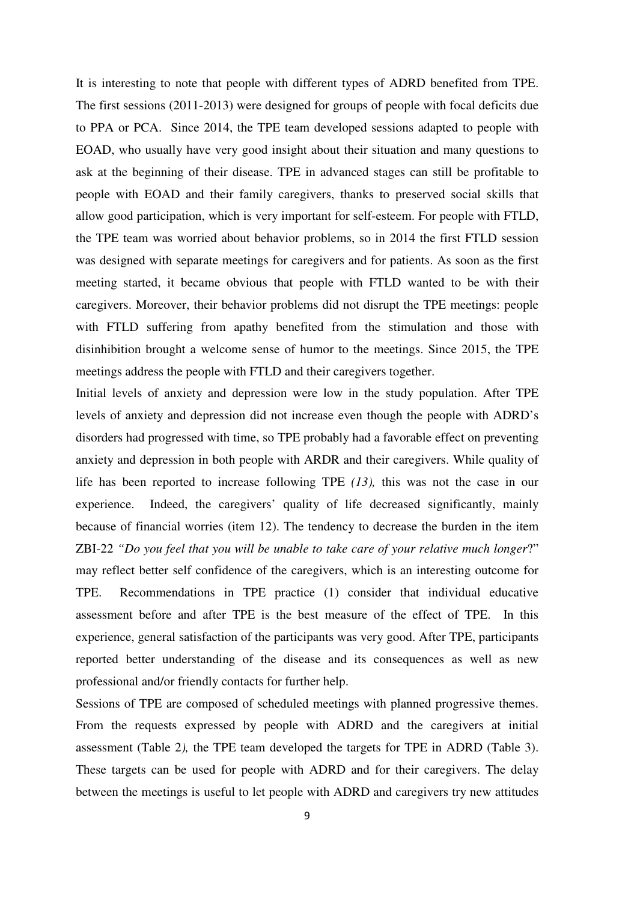It is interesting to note that people with different types of ADRD benefited from TPE. The first sessions (2011-2013) were designed for groups of people with focal deficits due to PPA or PCA. Since 2014, the TPE team developed sessions adapted to people with EOAD, who usually have very good insight about their situation and many questions to ask at the beginning of their disease. TPE in advanced stages can still be profitable to people with EOAD and their family caregivers, thanks to preserved social skills that allow good participation, which is very important for self-esteem. For people with FTLD, the TPE team was worried about behavior problems, so in 2014 the first FTLD session was designed with separate meetings for caregivers and for patients. As soon as the first meeting started, it became obvious that people with FTLD wanted to be with their caregivers. Moreover, their behavior problems did not disrupt the TPE meetings: people with FTLD suffering from apathy benefited from the stimulation and those with disinhibition brought a welcome sense of humor to the meetings. Since 2015, the TPE meetings address the people with FTLD and their caregivers together.

Initial levels of anxiety and depression were low in the study population. After TPE levels of anxiety and depression did not increase even though the people with ADRD's disorders had progressed with time, so TPE probably had a favorable effect on preventing anxiety and depression in both people with ARDR and their caregivers. While quality of life has been reported to increase following TPE *(13),* this was not the case in our experience. Indeed, the caregivers' quality of life decreased significantly, mainly because of financial worries (item 12). The tendency to decrease the burden in the item ZBI-22 *"Do you feel that you will be unable to take care of your relative much longer*?" may reflect better self confidence of the caregivers, which is an interesting outcome for TPE. Recommendations in TPE practice (1) consider that individual educative assessment before and after TPE is the best measure of the effect of TPE. In this experience, general satisfaction of the participants was very good. After TPE, participants reported better understanding of the disease and its consequences as well as new professional and/or friendly contacts for further help.

Sessions of TPE are composed of scheduled meetings with planned progressive themes. From the requests expressed by people with ADRD and the caregivers at initial assessment (Table 2*),* the TPE team developed the targets for TPE in ADRD (Table 3). These targets can be used for people with ADRD and for their caregivers. The delay between the meetings is useful to let people with ADRD and caregivers try new attitudes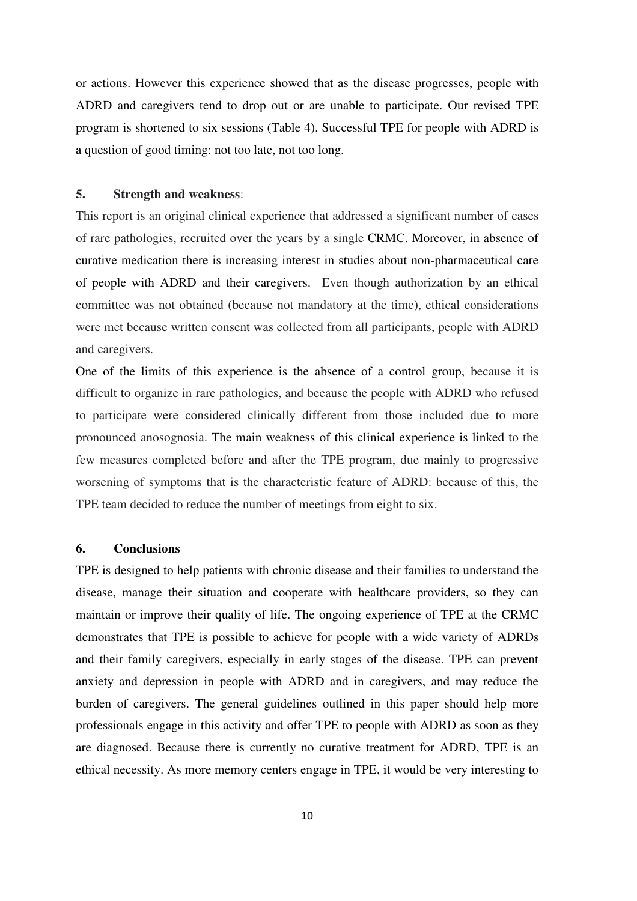or actions. However this experience showed that as the disease progresses, people with ADRD and caregivers tend to drop out or are unable to participate. Our revised TPE program is shortened to six sessions (Table 4). Successful TPE for people with ADRD is a question of good timing: not too late, not too long.

#### **5. Strength and weakness**:

This report is an original clinical experience that addressed a significant number of cases of rare pathologies, recruited over the years by a single CRMC. Moreover, in absence of curative medication there is increasing interest in studies about non-pharmaceutical care of people with ADRD and their caregivers. Even though authorization by an ethical committee was not obtained (because not mandatory at the time), ethical considerations were met because written consent was collected from all participants, people with ADRD and caregivers.

One of the limits of this experience is the absence of a control group, because it is difficult to organize in rare pathologies, and because the people with ADRD who refused to participate were considered clinically different from those included due to more pronounced anosognosia. The main weakness of this clinical experience is linked to the few measures completed before and after the TPE program, due mainly to progressive worsening of symptoms that is the characteristic feature of ADRD: because of this, the TPE team decided to reduce the number of meetings from eight to six.

#### **6. Conclusions**

TPE is designed to help patients with chronic disease and their families to understand the disease, manage their situation and cooperate with healthcare providers, so they can maintain or improve their quality of life. The ongoing experience of TPE at the CRMC demonstrates that TPE is possible to achieve for people with a wide variety of ADRDs and their family caregivers, especially in early stages of the disease. TPE can prevent anxiety and depression in people with ADRD and in caregivers, and may reduce the burden of caregivers. The general guidelines outlined in this paper should help more professionals engage in this activity and offer TPE to people with ADRD as soon as they are diagnosed. Because there is currently no curative treatment for ADRD, TPE is an ethical necessity. As more memory centers engage in TPE, it would be very interesting to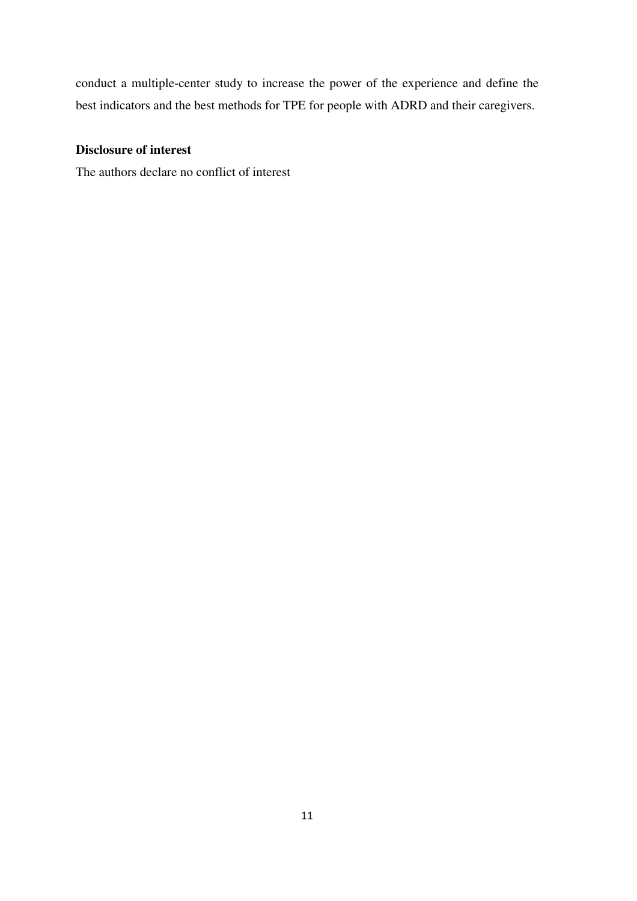conduct a multiple-center study to increase the power of the experience and define the best indicators and the best methods for TPE for people with ADRD and their caregivers.

#### **Disclosure of interest**

The authors declare no conflict of interest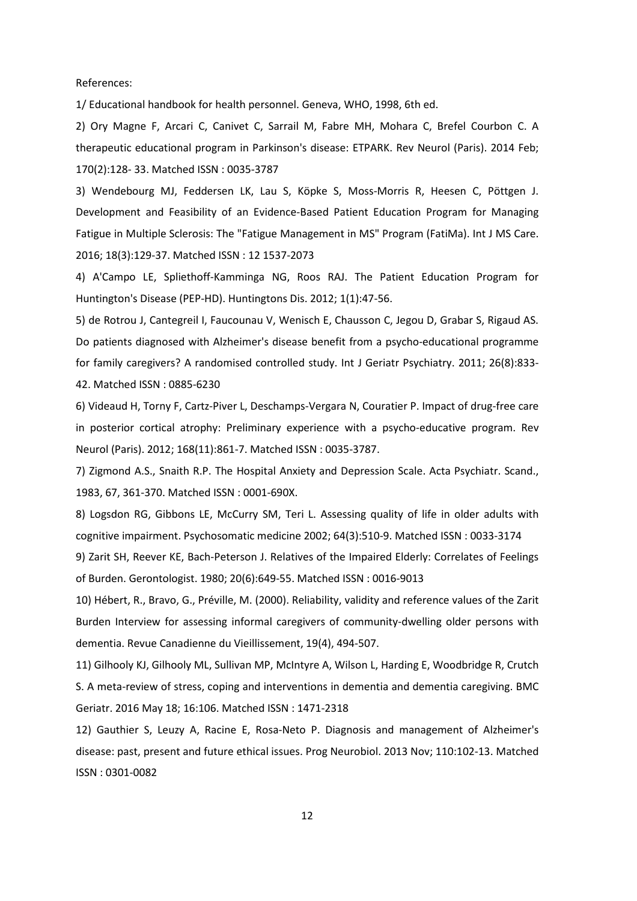References:

1/ Educational handbook for health personnel. Geneva, WHO, 1998, 6th ed.

2) Ory Magne F, Arcari C, Canivet C, Sarrail M, Fabre MH, Mohara C, Brefel Courbon C. A therapeutic educational program in Parkinson's disease: ETPARK. Rev Neurol (Paris). 2014 Feb; 170(2):128- 33. Matched ISSN : 0035-3787

3) Wendebourg MJ, Feddersen LK, Lau S, Köpke S, Moss-Morris R, Heesen C, Pöttgen J. Development and Feasibility of an Evidence-Based Patient Education Program for Managing Fatigue in Multiple Sclerosis: The "Fatigue Management in MS" Program (FatiMa). Int J MS Care. 2016; 18(3):129-37. Matched ISSN : 12 1537-2073

4) A'Campo LE, Spliethoff-Kamminga NG, Roos RAJ. The Patient Education Program for Huntington's Disease (PEP-HD). Huntingtons Dis. 2012; 1(1):47-56.

5) de Rotrou J, Cantegreil I, Faucounau V, Wenisch E, Chausson C, Jegou D, Grabar S, Rigaud AS. Do patients diagnosed with Alzheimer's disease benefit from a psycho-educational programme for family caregivers? A randomised controlled study. Int J Geriatr Psychiatry. 2011; 26(8):833- 42. Matched ISSN : 0885-6230

6) Videaud H, Torny F, Cartz-Piver L, Deschamps-Vergara N, Couratier P. Impact of drug-free care in posterior cortical atrophy: Preliminary experience with a psycho-educative program. Rev Neurol (Paris). 2012; 168(11):861-7. Matched ISSN : 0035-3787.

7) Zigmond A.S., Snaith R.P. The Hospital Anxiety and Depression Scale. Acta Psychiatr. Scand., 1983, 67, 361-370. Matched ISSN : 0001-690X.

8) Logsdon RG, Gibbons LE, McCurry SM, Teri L. Assessing quality of life in older adults with cognitive impairment. Psychosomatic medicine 2002; 64(3):510-9. Matched ISSN : 0033-3174

9) Zarit SH, Reever KE, Bach-Peterson J. Relatives of the Impaired Elderly: Correlates of Feelings of Burden. Gerontologist. 1980; 20(6):649-55. Matched ISSN : 0016-9013

10) Hébert, R., Bravo, G., Préville, M. (2000). Reliability, validity and reference values of the Zarit Burden Interview for assessing informal caregivers of community-dwelling older persons with dementia. Revue Canadienne du Vieillissement, 19(4), 494-507.

11) Gilhooly KJ, Gilhooly ML, Sullivan MP, McIntyre A, Wilson L, Harding E, Woodbridge R, Crutch S. A meta-review of stress, coping and interventions in dementia and dementia caregiving. BMC Geriatr. 2016 May 18; 16:106. Matched ISSN : 1471-2318

12) Gauthier S, Leuzy A, Racine E, Rosa-Neto P. Diagnosis and management of Alzheimer's disease: past, present and future ethical issues. Prog Neurobiol. 2013 Nov; 110:102-13. Matched ISSN : 0301-0082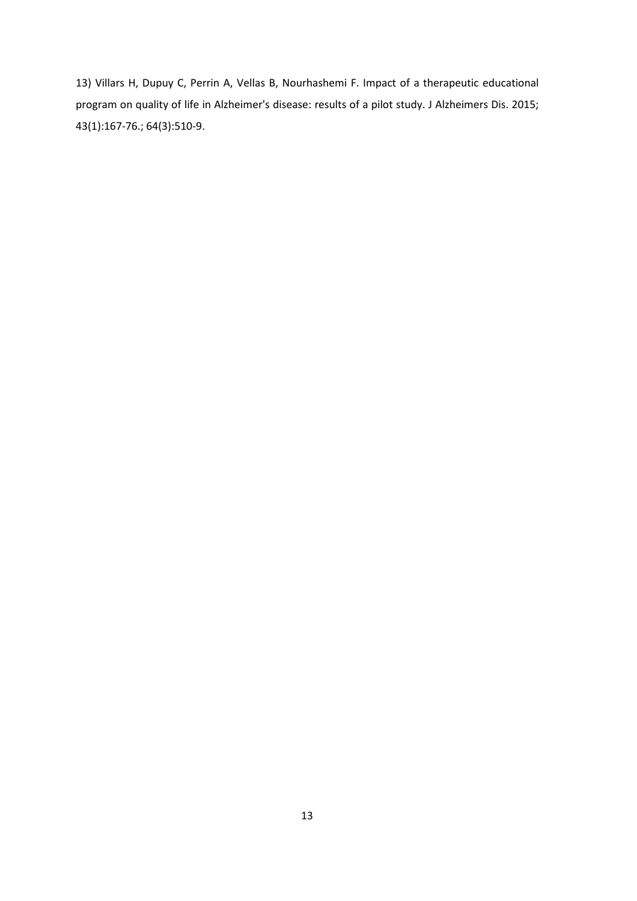13) Villars H, Dupuy C, Perrin A, Vellas B, Nourhashemi F. Impact of a therapeutic educational program on quality of life in Alzheimer's disease: results of a pilot study. J Alzheimers Dis. 2015; 43(1):167-76.; 64(3):510-9.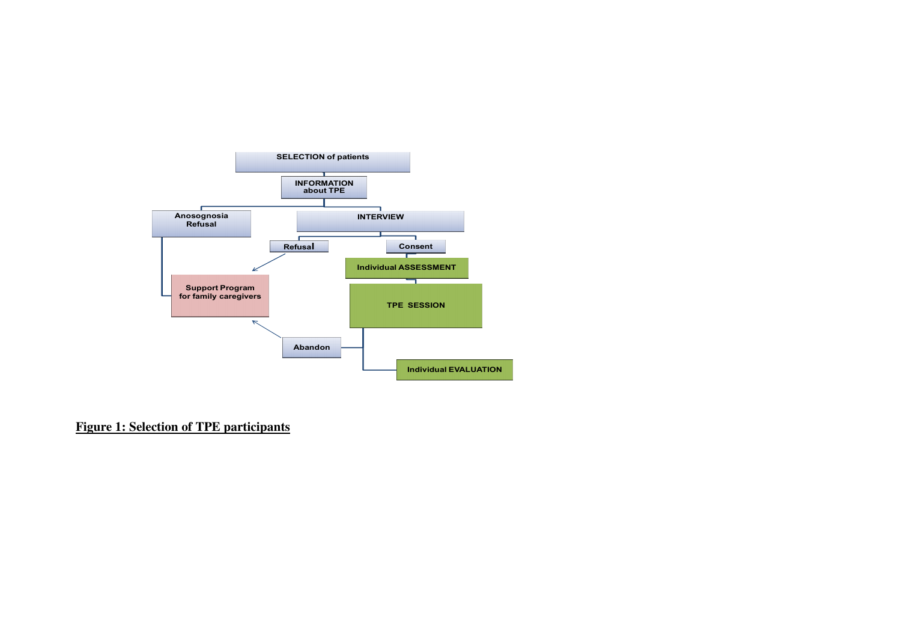

**Figure 1: Selection of TPE participants**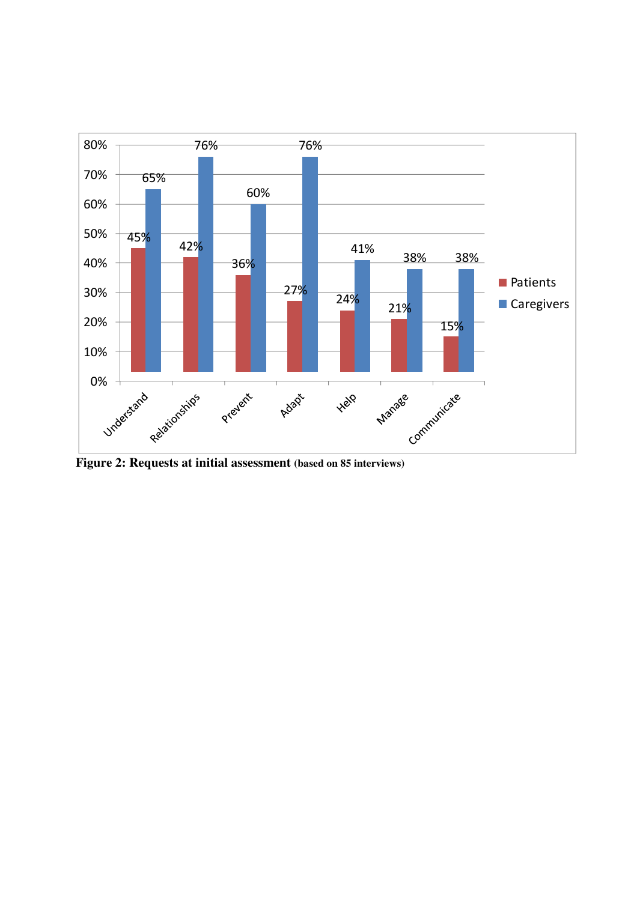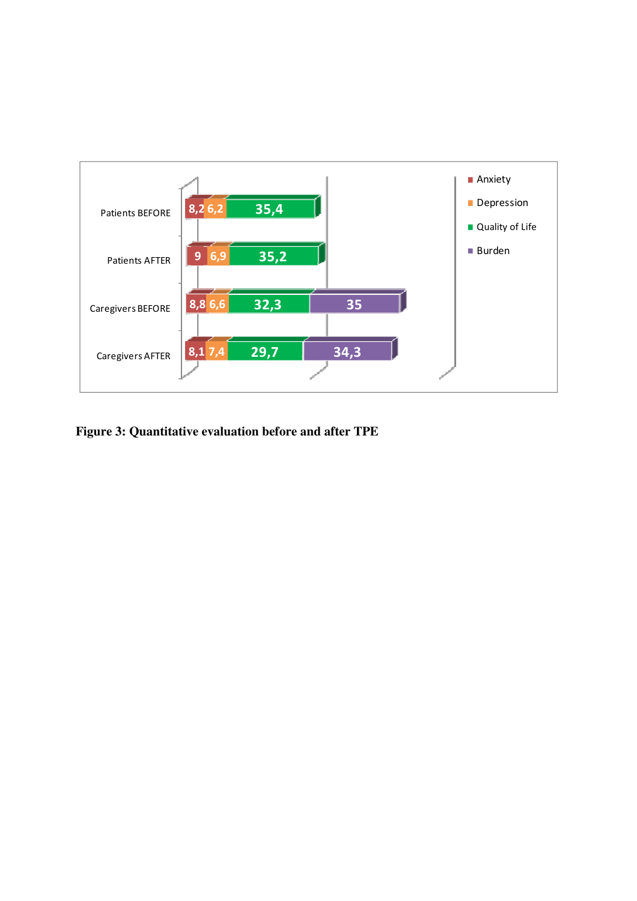

**Figure 3: Quantitative evaluation before and after TPE**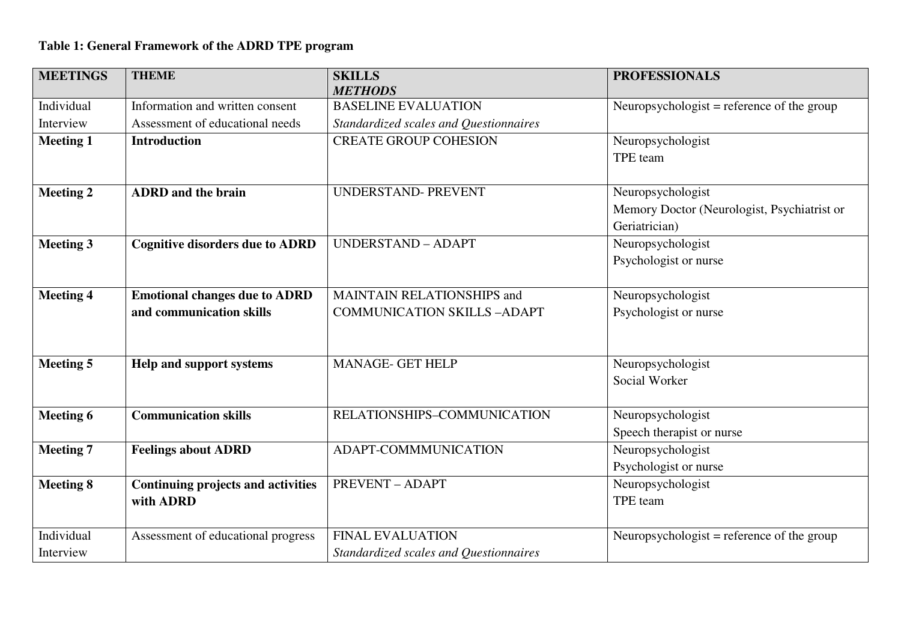#### **Table 1: General Framework of the ADRD TPE program**

| <b>MEETINGS</b>  | <b>THEME</b>                              | <b>SKILLS</b>                          | <b>PROFESSIONALS</b>                        |
|------------------|-------------------------------------------|----------------------------------------|---------------------------------------------|
|                  |                                           | <b>METHODS</b>                         |                                             |
| Individual       | Information and written consent           | <b>BASELINE EVALUATION</b>             | Neuropsychologist = reference of the group  |
| Interview        | Assessment of educational needs           | Standardized scales and Questionnaires |                                             |
| <b>Meeting 1</b> | <b>Introduction</b>                       | <b>CREATE GROUP COHESION</b>           | Neuropsychologist                           |
|                  |                                           |                                        | TPE team                                    |
|                  |                                           |                                        |                                             |
| <b>Meeting 2</b> | <b>ADRD</b> and the brain                 | UNDERSTAND- PREVENT                    | Neuropsychologist                           |
|                  |                                           |                                        | Memory Doctor (Neurologist, Psychiatrist or |
|                  |                                           |                                        | Geriatrician)                               |
| <b>Meeting 3</b> | <b>Cognitive disorders due to ADRD</b>    | <b>UNDERSTAND - ADAPT</b>              | Neuropsychologist                           |
|                  |                                           |                                        | Psychologist or nurse                       |
|                  |                                           |                                        |                                             |
| <b>Meeting 4</b> | <b>Emotional changes due to ADRD</b>      | MAINTAIN RELATIONSHIPS and             | Neuropsychologist                           |
|                  | and communication skills                  | <b>COMMUNICATION SKILLS-ADAPT</b>      | Psychologist or nurse                       |
|                  |                                           |                                        |                                             |
|                  |                                           |                                        |                                             |
| <b>Meeting 5</b> | <b>Help and support systems</b>           | MANAGE- GET HELP                       | Neuropsychologist                           |
|                  |                                           |                                        | Social Worker                               |
|                  |                                           |                                        |                                             |
| <b>Meeting 6</b> | <b>Communication skills</b>               | RELATIONSHIPS-COMMUNICATION            | Neuropsychologist                           |
|                  |                                           |                                        | Speech therapist or nurse                   |
| <b>Meeting 7</b> | <b>Feelings about ADRD</b>                | ADAPT-COMMMUNICATION                   | Neuropsychologist                           |
|                  |                                           |                                        | Psychologist or nurse                       |
| <b>Meeting 8</b> | <b>Continuing projects and activities</b> | <b>PREVENT - ADAPT</b>                 | Neuropsychologist                           |
|                  | with ADRD                                 |                                        | TPE team                                    |
|                  |                                           |                                        |                                             |
| Individual       | Assessment of educational progress        | <b>FINAL EVALUATION</b>                | Neuropsychologist = reference of the group  |
| Interview        |                                           | Standardized scales and Questionnaires |                                             |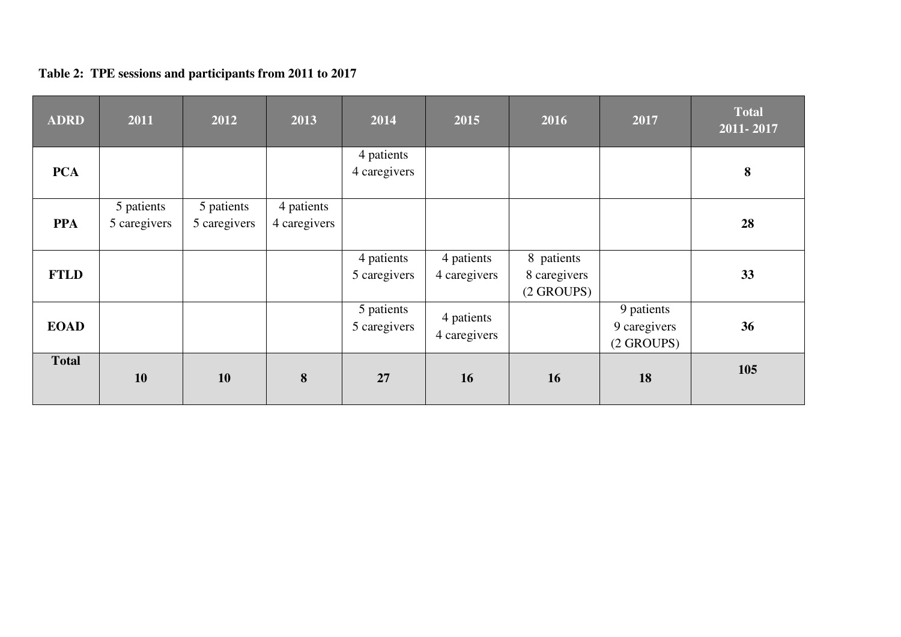#### **Table 2: TPE sessions and participants from 2011 to 2017**

| <b>ADRD</b>  | 2011                       | 2012                       | 2013                       | 2014                       | 2015                       | 2016                                     | 2017                                       | <b>Total</b><br>2011-2017 |
|--------------|----------------------------|----------------------------|----------------------------|----------------------------|----------------------------|------------------------------------------|--------------------------------------------|---------------------------|
| <b>PCA</b>   |                            |                            |                            | 4 patients<br>4 caregivers |                            |                                          |                                            | 8                         |
| <b>PPA</b>   | 5 patients<br>5 caregivers | 5 patients<br>5 caregivers | 4 patients<br>4 caregivers |                            |                            |                                          |                                            | 28                        |
| <b>FTLD</b>  |                            |                            |                            | 4 patients<br>5 caregivers | 4 patients<br>4 caregivers | 8 patients<br>8 caregivers<br>(2 GROUPS) |                                            | 33                        |
| <b>EOAD</b>  |                            |                            |                            | 5 patients<br>5 caregivers | 4 patients<br>4 caregivers |                                          | 9 patients<br>9 caregivers<br>$(2$ GROUPS) | 36                        |
| <b>Total</b> | 10                         | 10                         | 8                          | 27                         | 16                         | 16                                       | 18                                         | 105                       |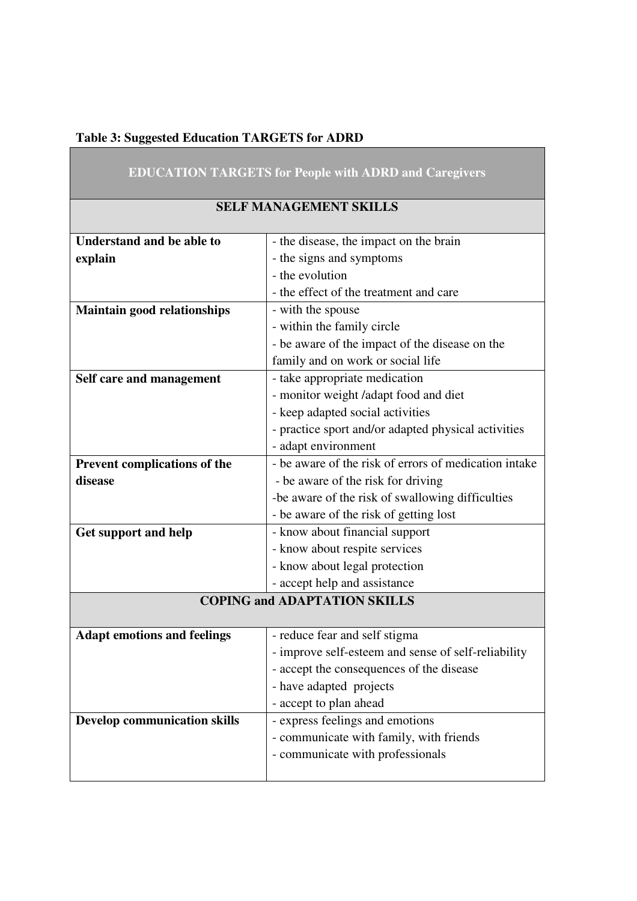### **Table 3: Suggested Education TARGETS for ADRD**

| <b>EDUCATION TARGETS for People with ADRD and Caregivers</b> |                                                       |  |  |  |
|--------------------------------------------------------------|-------------------------------------------------------|--|--|--|
| <b>SELF MANAGEMENT SKILLS</b>                                |                                                       |  |  |  |
| <b>Understand and be able to</b>                             | - the disease, the impact on the brain                |  |  |  |
| explain                                                      | - the signs and symptoms                              |  |  |  |
|                                                              | - the evolution                                       |  |  |  |
|                                                              | - the effect of the treatment and care                |  |  |  |
| <b>Maintain good relationships</b>                           | - with the spouse                                     |  |  |  |
|                                                              | - within the family circle                            |  |  |  |
|                                                              | - be aware of the impact of the disease on the        |  |  |  |
|                                                              | family and on work or social life                     |  |  |  |
| Self care and management                                     | - take appropriate medication                         |  |  |  |
|                                                              | - monitor weight /adapt food and diet                 |  |  |  |
|                                                              | - keep adapted social activities                      |  |  |  |
|                                                              | - practice sport and/or adapted physical activities   |  |  |  |
|                                                              | - adapt environment                                   |  |  |  |
| Prevent complications of the                                 | - be aware of the risk of errors of medication intake |  |  |  |
| disease                                                      | - be aware of the risk for driving                    |  |  |  |
|                                                              | -be aware of the risk of swallowing difficulties      |  |  |  |
|                                                              | - be aware of the risk of getting lost                |  |  |  |
| <b>Get support and help</b>                                  | - know about financial support                        |  |  |  |
|                                                              | - know about respite services                         |  |  |  |
|                                                              | - know about legal protection                         |  |  |  |
|                                                              | - accept help and assistance                          |  |  |  |
|                                                              | <b>COPING and ADAPTATION SKILLS</b>                   |  |  |  |
|                                                              |                                                       |  |  |  |
| <b>Adapt emotions and feelings</b>                           | - reduce fear and self stigma                         |  |  |  |
|                                                              | - improve self-esteem and sense of self-reliability   |  |  |  |
|                                                              | - accept the consequences of the disease              |  |  |  |
|                                                              | - have adapted projects                               |  |  |  |
|                                                              | - accept to plan ahead                                |  |  |  |
| <b>Develop communication skills</b>                          | - express feelings and emotions                       |  |  |  |
|                                                              | - communicate with family, with friends               |  |  |  |
|                                                              | - communicate with professionals                      |  |  |  |
|                                                              |                                                       |  |  |  |